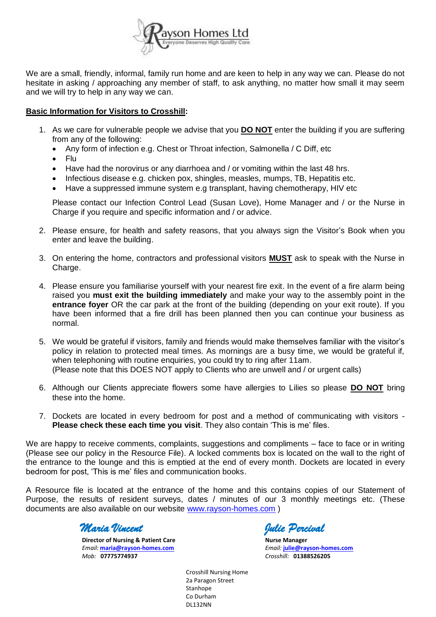

We are a small, friendly, informal, family run home and are keen to help in any way we can. Please do not hesitate in asking / approaching any member of staff, to ask anything, no matter how small it may seem and we will try to help in any way we can.

# **Basic Information for Visitors to Crosshill:**

- 1. As we care for vulnerable people we advise that you **DO NOT** enter the building if you are suffering from any of the following:
	- Any form of infection e.g. Chest or Throat infection, Salmonella / C Diff, etc
	- $\bullet$  Flu
	- Have had the norovirus or any diarrhoea and / or vomiting within the last 48 hrs.
	- Infectious disease e.g. chicken pox, shingles, measles, mumps, TB, Hepatitis etc.
	- Have a suppressed immune system e.g transplant, having chemotherapy, HIV etc

Please contact our Infection Control Lead (Susan Love), Home Manager and / or the Nurse in Charge if you require and specific information and / or advice.

- 2. Please ensure, for health and safety reasons, that you always sign the Visitor's Book when you enter and leave the building.
- 3. On entering the home, contractors and professional visitors **MUST** ask to speak with the Nurse in Charge.
- 4. Please ensure you familiarise yourself with your nearest fire exit. In the event of a fire alarm being raised you **must exit the building immediately** and make your way to the assembly point in the **entrance foyer** OR the car park at the front of the building (depending on your exit route). If you have been informed that a fire drill has been planned then you can continue your business as normal.
- 5. We would be grateful if visitors, family and friends would make themselves familiar with the visitor's policy in relation to protected meal times. As mornings are a busy time, we would be grateful if, when telephoning with routine enquiries, you could try to ring after 11am. (Please note that this DOES NOT apply to Clients who are unwell and / or urgent calls)
- 6. Although our Clients appreciate flowers some have allergies to Lilies so please **DO NOT** bring these into the home.
- 7. Dockets are located in every bedroom for post and a method of communicating with visitors **Please check these each time you visit**. They also contain 'This is me' files.

We are happy to receive comments, complaints, suggestions and compliments – face to face or in writing (Please see our policy in the Resource File). A locked comments box is located on the wall to the right of the entrance to the lounge and this is emptied at the end of every month. Dockets are located in every bedroom for post, 'This is me' files and communication books.

A Resource file is located at the entrance of the home and this contains copies of our Statement of Purpose, the results of resident surveys, dates / minutes of our 3 monthly meetings etc. (These documents are also available on our website [www.rayson-homes.com](http://www.rayson-homes.com/) )

*Maria Vincent Julie Percival* 

**Director of Nursing & Patient Care Nurse Manager <b>Nurse Manager** *Email:* **[maria@rayson-homes.com](mailto:maria@rayson-homes.com)** *Email:* **[julie@rayson-homes.com](mailto:julie@rayson-homes.com)** *Mob:* **07775774937** *Crosshill:* **01388526205**

Crosshill Nursing Home 2a Paragon Street Stanhope Co Durham DL132NN